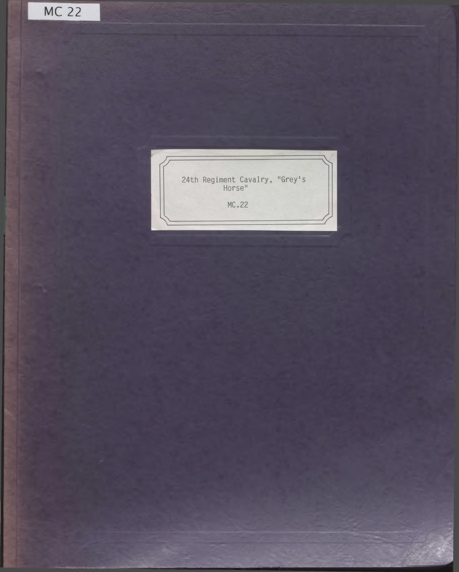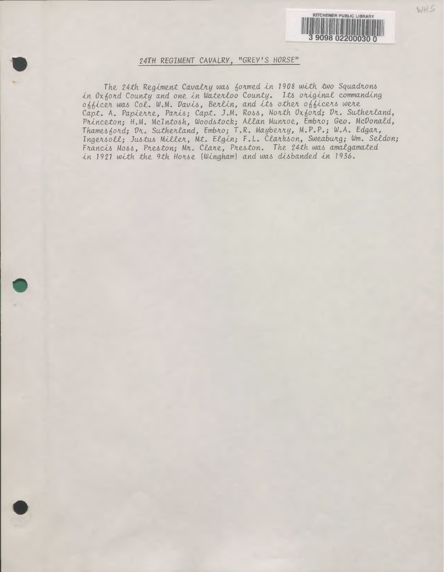

WH5

## 24TH REGIMENT CAVALRY, "GREY'S HORSE"

The 24th Regiment Cavalry was formed in 1908 with two Squadrons in Oxford County and one in Waterloo County. Its original commanding officer was Col. W.M. Davis, Berlin, and its other officers were Capt. A. Papierre, Paris; Capt. J.M. Ross, North Oxford; Dr. Sutherland, Princeton; H.M. McIntosh, Woodstock; Allan Munroe, Embro; Geo. McDonald, Thamesford: Dr. Sutherland, Embro; T.R. Mayberry, M.P.P.; W.A. Edgar, Ingersoll; Justus Miller, Mt. Elgin; F.L. Clarkson, Sweaburg; Wm. Seldon; Francis Moss, Preston; Mr. Clare, Preston. The 24th was amalgamated in 1921 with the 9th Horse (Wingham) and was disbanded in 1936.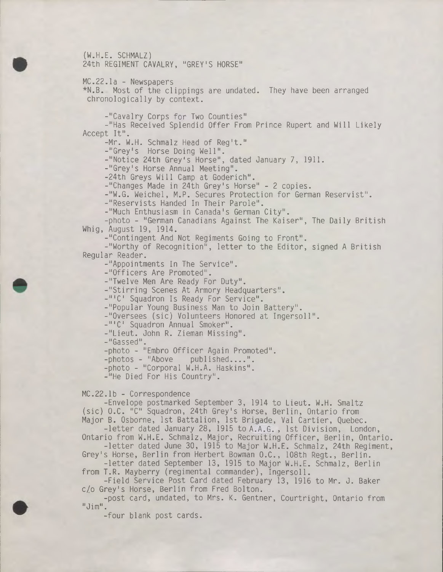(W.H.E. SCHMALZ) 24th REGIMENT CAVALRY, "GREY'S HORSE"

MC.22.la - Newspapers

\*N.B. Most of the clippings are undated. They have been arranged chronologically by context.

-"Cavalry Corps for Two Counties"

-"Has Received Splendid Offer From Prince Rupert and Will Likely Accept It".

-Mr. W.H. Schmalz Head of Reg't."

-"Grey's Horse Doing Well".

-"Notice 24th Grey's Horse", dated January 7, 1911.

-"Grey's Horse Annual Meeting".

-24th Greys Will Camp at Goderich".

-"Changes Made in 24th Grey's Horse" - <sup>2</sup> copies.

-"W.G. Weichel, M.P. Secures Protection for German Reservist".

-"Reservists Handed In Their Parole".

-"Much Enthusiasm in Canada's German City".

-photo - "German Canadians Against The Kaiser", The Daily British Whig, August 19, 1914.

-"Contingent And Not Regiments Going to Front".

-"Worthy of Recognition", letter to the Editor, signed <sup>A</sup> British Regular Reader.

-"Appointments In The Service".

-"Officers Are Promoted".

-"Twelve Men Are Ready For Duty".

-"Stirring Scenes At Armory Headquarters".

-"'C' Squadron Is Ready For Service".

-"Popular Young Business Man to Join Battery".

-"Oversees (sic) Volunteers Honored at Ingersoll".

-"'C' Squadron Annual Smoker".

-"Lieut. John R. Zieman Missing".

-"Gassed".

-photo - "Embro Officer Again Promoted".

-photos - "Above published....".

-photo - "Corporal W.H.A. Haskins".

-"He Died For His Country".

MC.22.lb - Correspondence

-Envelope postmarked September 3, 1914 to Lieut. W.H. Smaltz (sic) O.C. "C" Squadron, 24th Grey's Horse, Berlin, Ontario from Major B. Osborne, 1st Battalion, 1st Brigade, Vai Cartier, Quebec.

-letter dated January 28, <sup>1915</sup> to A.A.G. , 1st Division, London, Ontario from W.H.E. Schmalz, Major, Recruiting Officer, Berlin, Ontario.

-letter dated June 30, <sup>1915</sup> to Major W.H.E. Schmalz, 24th Regiment, Grey's Horse, Berlin from Herbert Bowman O.C., 108th Regt., Berlin.

-letter dated September 13, <sup>1915</sup> to Major W.H.E. Schmalz, Berlin from T.R. Mayberry (regimental commander), Ingersoll.

-Field Service Post Card dated February 13, 1916 to Mr. J. Baker c/o Grey's Horse, Berlin from Fred Bolton. c/o Grey's Horse, Berlin from Fred Bolton.

-post card, undated, to Mrs. K. Gentner, Courtright, Ontario from "Jim".

-four blank post cards.